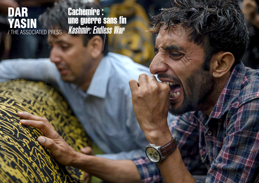## DAR YASIN / THE ASSOCIATED PRESS

Cachemire : une guerre sans fin Kashmir: Endless War

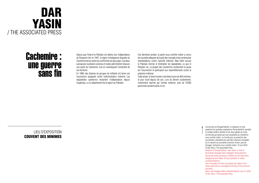

# Cachemire : une guerre sans fin

LIEU D'EXPOSITION COUVENT DES MINIMES Depuis que l'Inde et le Pakistan ont obtenu leur indépendance du Royaume-Uni en 1947, la région himalayenne disputée du Cachemire est au centre du conflit entre les deux pays. Ces deux puissances nucléaires voisines et rivales administrent chacune une partie du Cachemire, tout en revendiquant l'ensemble de son territoire.

En 1989, des dizaines de groupes de militants ont lancé une insurrection sanglante contre l'administration indienne. Les séparatistes cachemiris réclament l'indépendance depuis longtemps, ou le rattachement de la région au Pakistan.

Ces dernières années, la partie sous contrôle indien a connu de nouvelles attaques de la part des insurgés et de nombreuses manifestations contre l'autorité indienne. New Delhi accuse le Pakistan d'armer et d'entraîner les séparatistes, ce que le Pakistan nie. La plupart des Cachemiris soutiennent la cause de l'insurrection et participent aux rassemblements contre la présence indienne.

Cette année, le bilan humain s'est élevé à plus de 400 victimes, le plus lourd depuis dix ans. Lors du dernier soulèvement, violemment réprimé par l'armée indienne, près de 70000 personnes auraient perdu la vie.

> Les proches de Shujaat Bukhari, le rédacteur en chef assassiné du quotidien anglophone *Rising Kashmir*, pendant le cortège funèbre. Bukhari et ses deux gardes du corps ont été tués par balles par leurs assaillants au Cachemire sous contrôle indien. Le Comité pour la protection des journalistes a demandé aux autorités indiennes d'enquêter sur le meurtre du journaliste renommé. Kreeri, près de Srinagar, Cachemire sous contrôle indien, 15 juin 2018. © Dar Yasin / The Associated Press

Relatives of Shujaat Bukhari, slain editor-in-chief of the English-language daily newspaper *Rising Kashmir*, during the funeral procession. Bukhari and his two police bodyguards were fatally shot by assailants in Indiancontrolled Kashmir.

The Committee to Protect Journalists has called on the Indian authorities to investigate the killing of the prominent journalist.

Kreeri, near Srinagar, Indian-controlled Kashmir, June 15, 2018. © Dar Yasin / The Associated Press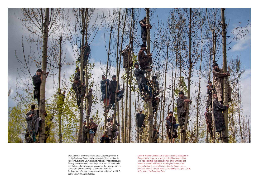

Des musulmans cachemiris ont grimpé sur des arbres pour voir le cortège funèbre de Waseem Malla, soupçonné d'être un militant du Hizbul Moudjahidine. Les manifestants hostiles à l'Inde ont attaqué les forces gouvernementales à coups de pierres et ont brûlé un véhicule blindé alors qu'ils assistaient aux obsèques de deux insurgés tués lors d'échanges de tirs dans la région disputée du Cachemire. Pehlipora, sud de Srinagar, Cachemire sous contrôle indien, 7 avril 2016. © Dar Yasin / The Associated Press

Kashmiri Muslims climbed trees to watch the funeral procession of Waseem Malla, suspected of being a Hizbul Mujahideen militant. Anti-India protesters attacked government forces with rocks and burned an armored vehicle while attending the funerals of two insurgents killed in a gun-battle in the disputed Kashmir region. Pehlipora, south of Srinagar, Indian-controlled Kashmir, April 7, 2016. © Dar Yasin / The Associated Press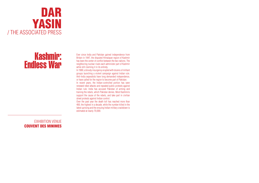

## Kashmir: Endless War

EXHIBITION VENUE COUVENT DES MINIMES

Ever since India and Pakistan gained independence from Britain in 1947, the disputed Himalayan region of Kashmir has been the center of conflict between the two nations. The neighboring nuclear rivals each administer part of Kashmir while still claiming it in its entirety.

In 1989, a bloody insurgency erupted with dozens of militant groups launching a violent campaign against Indian rule. Anti-India separatists have long demanded independence, or have called for the region to become part of Pakistan.

In recent years, the Indian-controlled portion has seen renewed rebel attacks and repeated public protests against Indian rule. India has accused Pakistan of arming and training the rebels, which Pakistan denies. Most Kashmiris support the cause of the rebels, and take part in civilian street protests against Indian control.

Over the past year the death toll has reached more than 400, the highest in a decade, while the number killed in the latest uprising and the ensuing Indian military crackdown is estimated at nearly 70,000.